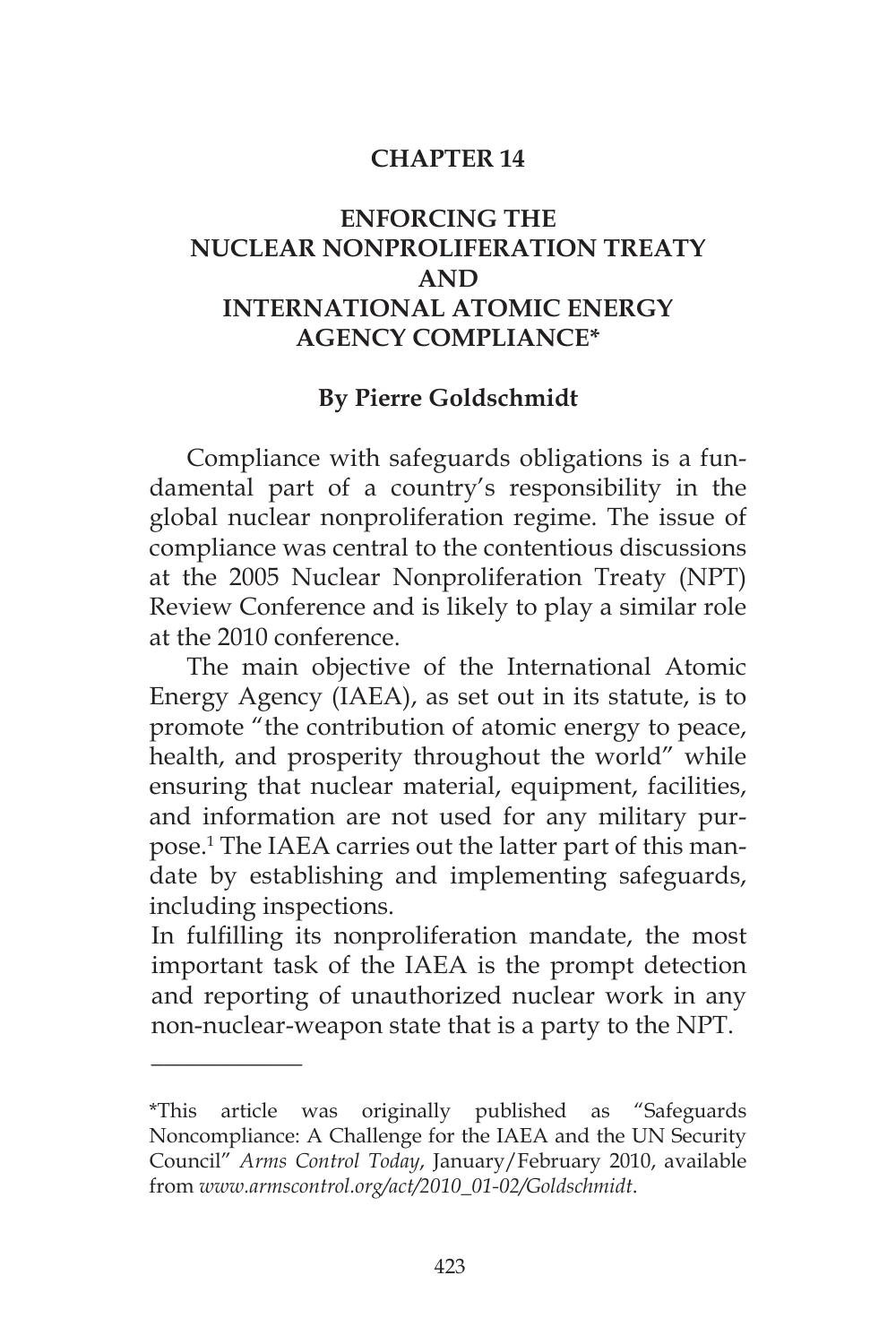#### **CHAPTER 14**

# **ENFORCING THE NUCLEAR NONPROLIFERATION TREATY AND INTERNATIONAL ATOMIC ENERGY AGENCY COMPLIANCE\***

#### **By Pierre Goldschmidt**

Compliance with safeguards obligations is a fundamental part of a country's responsibility in the global nuclear nonproliferation regime. The issue of compliance was central to the contentious discussions at the 2005 Nuclear Nonproliferation Treaty (NPT) Review Conference and is likely to play a similar role at the 2010 conference.

The main objective of the International Atomic Energy Agency (IAEA), as set out in its statute, is to promote "the contribution of atomic energy to peace, health, and prosperity throughout the world" while ensuring that nuclear material, equipment, facilities, and information are not used for any military purpose.1 The IAEA carries out the latter part of this mandate by establishing and implementing safeguards, including inspections.

In fulfilling its nonproliferation mandate, the most important task of the IAEA is the prompt detection and reporting of unauthorized nuclear work in any non-nuclear-weapon state that is a party to the NPT.

\_\_\_\_\_\_\_\_\_\_\_\_

<sup>\*</sup>This article was originally published as "Safeguards Noncompliance: A Challenge for the IAEA and the UN Security Council" *Arms Control Today*, January/February 2010, available from *www.armscontrol.org/act/2010\_01-02/Goldschmidt*.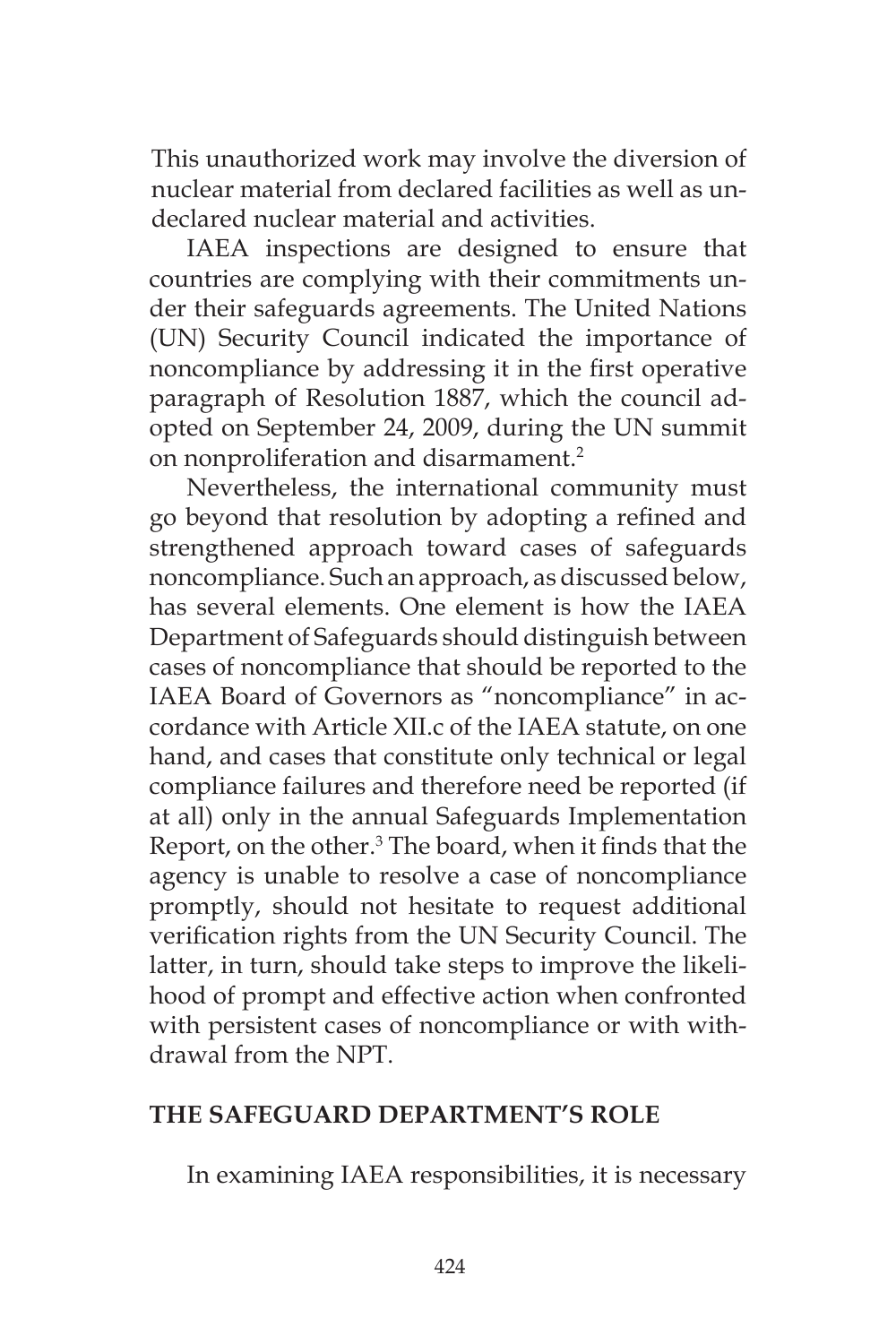This unauthorized work may involve the diversion of nuclear material from declared facilities as well as undeclared nuclear material and activities.

IAEA inspections are designed to ensure that countries are complying with their commitments under their safeguards agreements. The United Nations (UN) Security Council indicated the importance of noncompliance by addressing it in the first operative paragraph of Resolution 1887, which the council adopted on September 24, 2009, during the UN summit on nonproliferation and disarmament.<sup>2</sup>

Nevertheless, the international community must go beyond that resolution by adopting a refined and strengthened approach toward cases of safeguards noncompliance. Such an approach, as discussed below, has several elements. One element is how the IAEA Department of Safeguards should distinguish between cases of noncompliance that should be reported to the IAEA Board of Governors as "noncompliance" in accordance with Article XII.c of the IAEA statute, on one hand, and cases that constitute only technical or legal compliance failures and therefore need be reported (if at all) only in the annual Safeguards Implementation Report, on the other.<sup>3</sup> The board, when it finds that the agency is unable to resolve a case of noncompliance promptly, should not hesitate to request additional verification rights from the UN Security Council. The latter, in turn, should take steps to improve the likelihood of prompt and effective action when confronted with persistent cases of noncompliance or with withdrawal from the NPT.

# **THE SAFEGUARD DEPARTMENT'S ROLE**

In examining IAEA responsibilities, it is necessary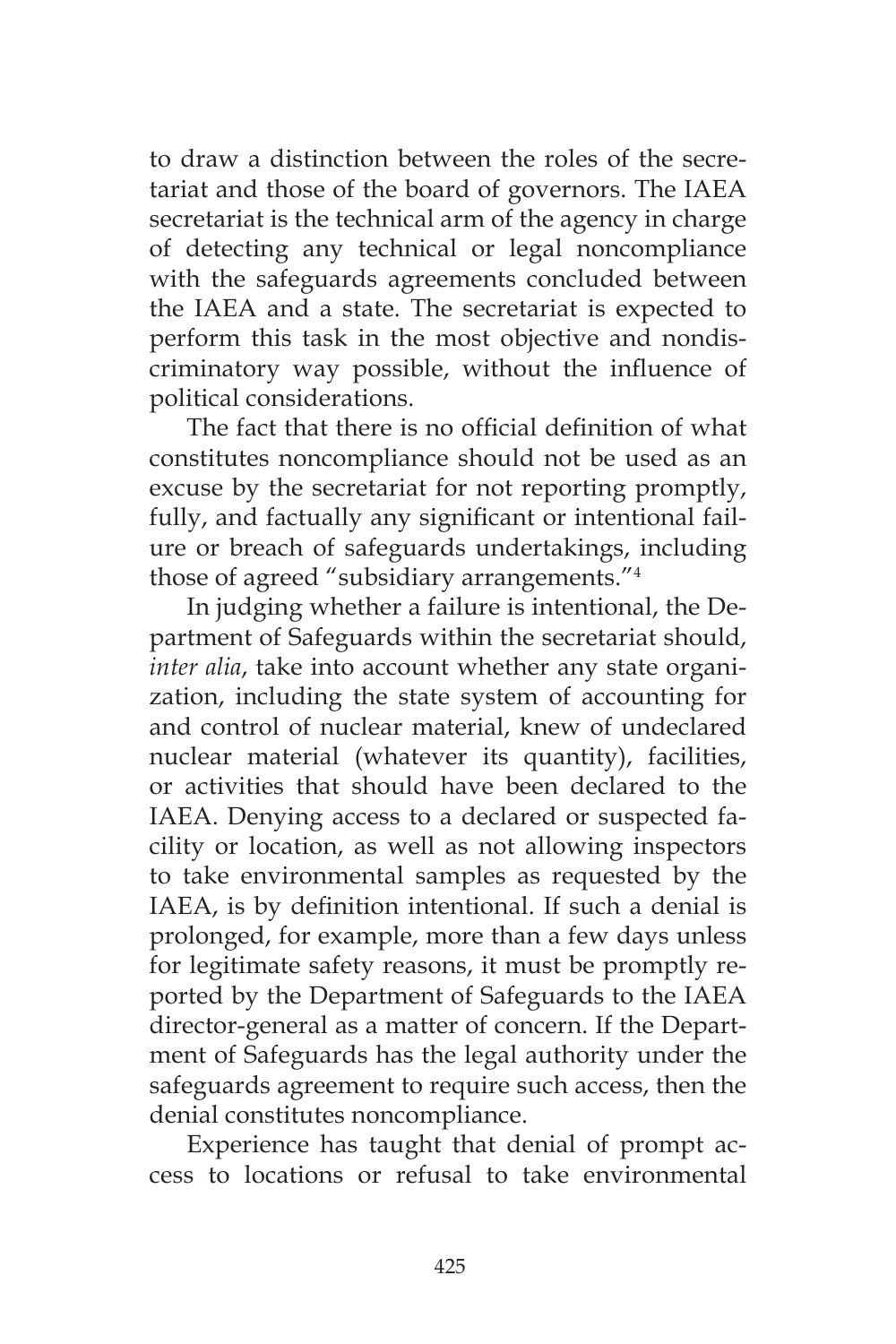to draw a distinction between the roles of the secretariat and those of the board of governors. The IAEA secretariat is the technical arm of the agency in charge of detecting any technical or legal noncompliance with the safeguards agreements concluded between the IAEA and a state. The secretariat is expected to perform this task in the most objective and nondiscriminatory way possible, without the influence of political considerations.

The fact that there is no official definition of what constitutes noncompliance should not be used as an excuse by the secretariat for not reporting promptly, fully, and factually any significant or intentional failure or breach of safeguards undertakings, including those of agreed "subsidiary arrangements."4

In judging whether a failure is intentional, the Department of Safeguards within the secretariat should, *inter alia*, take into account whether any state organization, including the state system of accounting for and control of nuclear material, knew of undeclared nuclear material (whatever its quantity), facilities, or activities that should have been declared to the IAEA. Denying access to a declared or suspected facility or location, as well as not allowing inspectors to take environmental samples as requested by the IAEA, is by definition intentional. If such a denial is prolonged, for example, more than a few days unless for legitimate safety reasons, it must be promptly reported by the Department of Safeguards to the IAEA director-general as a matter of concern. If the Department of Safeguards has the legal authority under the safeguards agreement to require such access, then the denial constitutes noncompliance.

Experience has taught that denial of prompt access to locations or refusal to take environmental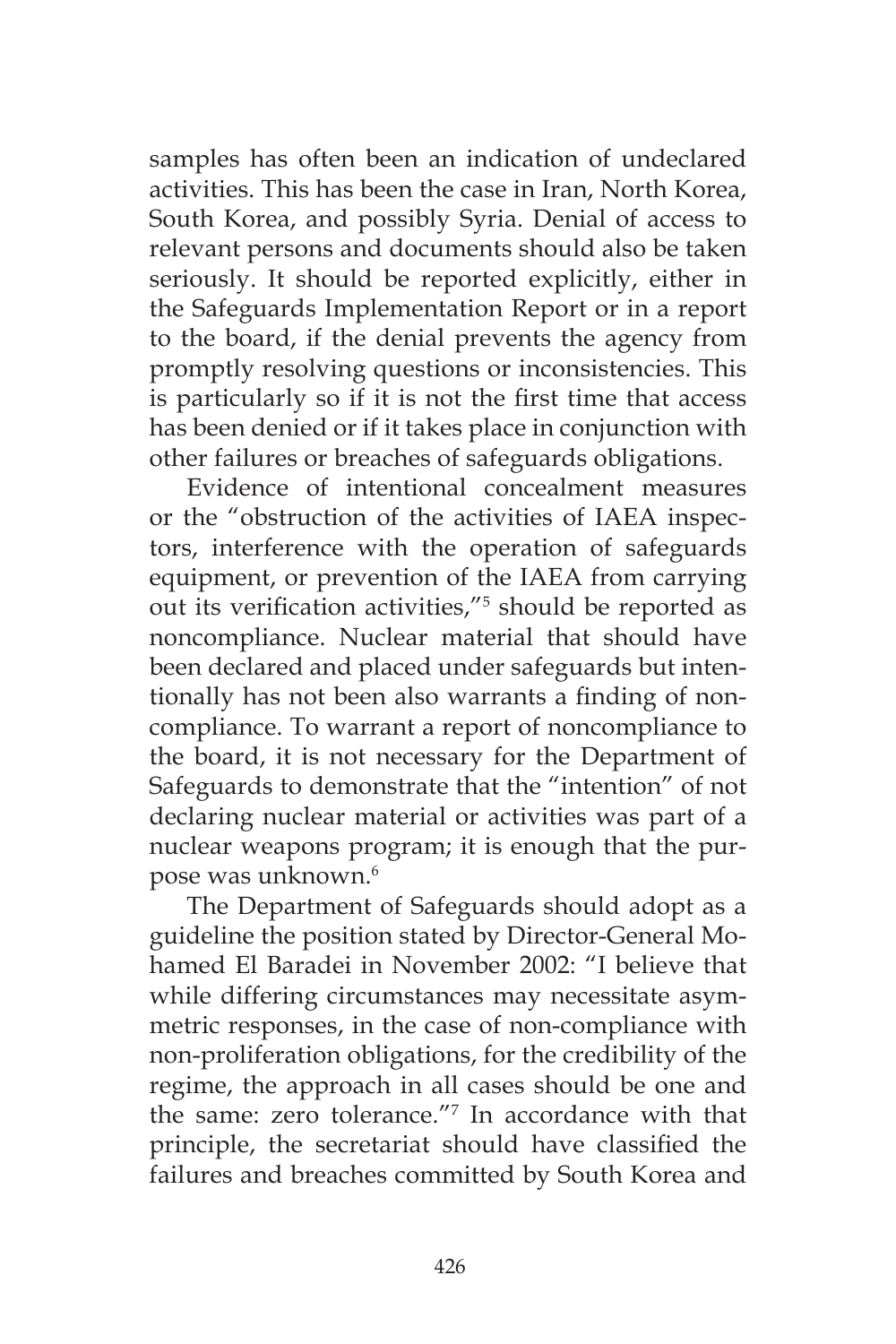samples has often been an indication of undeclared activities. This has been the case in Iran, North Korea, South Korea, and possibly Syria. Denial of access to relevant persons and documents should also be taken seriously. It should be reported explicitly, either in the Safeguards Implementation Report or in a report to the board, if the denial prevents the agency from promptly resolving questions or inconsistencies. This is particularly so if it is not the first time that access has been denied or if it takes place in conjunction with other failures or breaches of safeguards obligations.

Evidence of intentional concealment measures or the "obstruction of the activities of IAEA inspectors, interference with the operation of safeguards equipment, or prevention of the IAEA from carrying out its verification activities,"5 should be reported as noncompliance. Nuclear material that should have been declared and placed under safeguards but intentionally has not been also warrants a finding of noncompliance. To warrant a report of noncompliance to the board, it is not necessary for the Department of Safeguards to demonstrate that the "intention" of not declaring nuclear material or activities was part of a nuclear weapons program; it is enough that the purpose was unknown.6

The Department of Safeguards should adopt as a guideline the position stated by Director-General Mohamed El Baradei in November 2002: "I believe that while differing circumstances may necessitate asymmetric responses, in the case of non-compliance with non-proliferation obligations, for the credibility of the regime, the approach in all cases should be one and the same: zero tolerance."7 In accordance with that principle, the secretariat should have classified the failures and breaches committed by South Korea and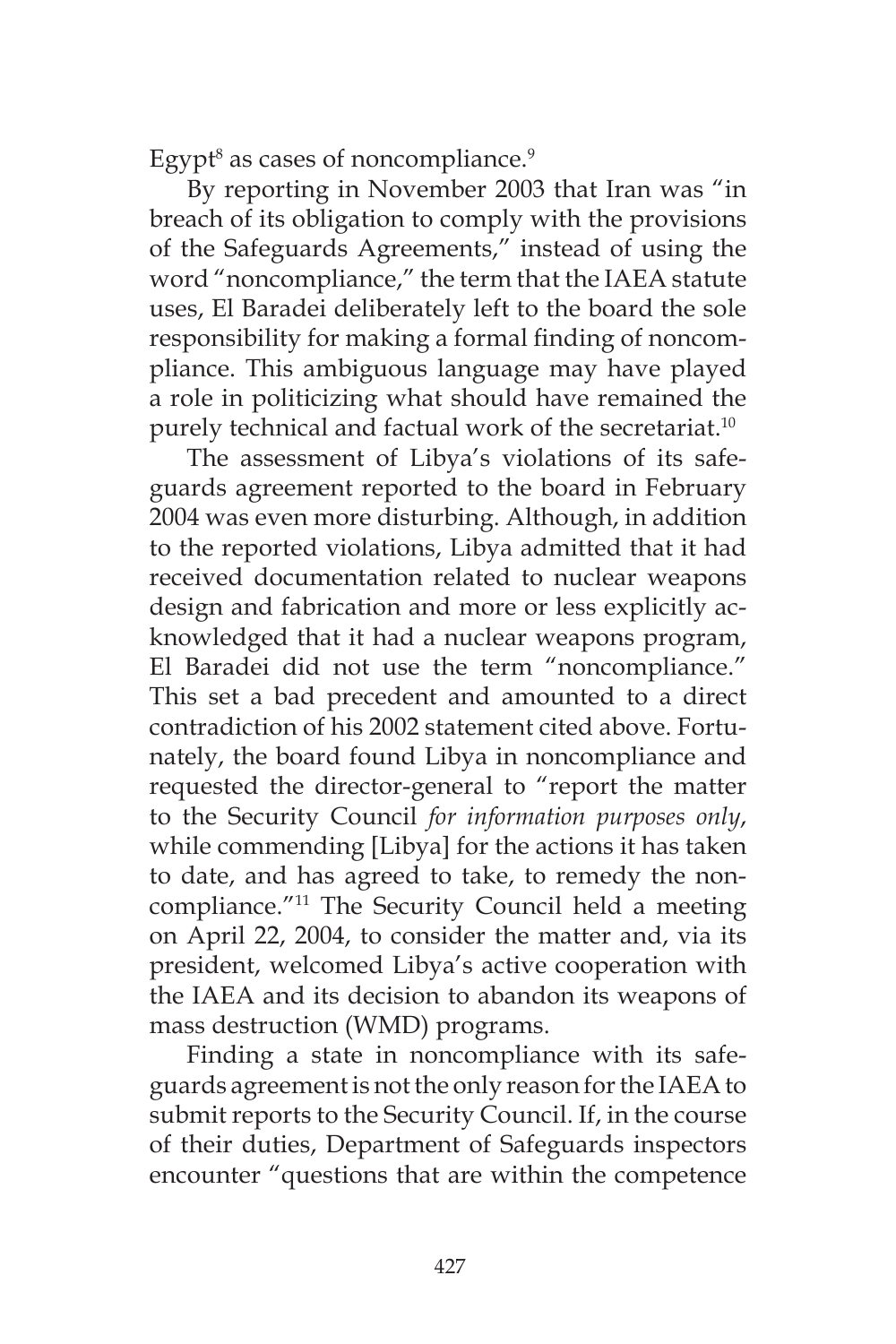Egypt<sup>8</sup> as cases of noncompliance.<sup>9</sup>

By reporting in November 2003 that Iran was "in breach of its obligation to comply with the provisions of the Safeguards Agreements," instead of using the word "noncompliance," the term that the IAEA statute uses, El Baradei deliberately left to the board the sole responsibility for making a formal finding of noncompliance. This ambiguous language may have played a role in politicizing what should have remained the purely technical and factual work of the secretariat.<sup>10</sup>

The assessment of Libya's violations of its safeguards agreement reported to the board in February 2004 was even more disturbing. Although, in addition to the reported violations, Libya admitted that it had received documentation related to nuclear weapons design and fabrication and more or less explicitly acknowledged that it had a nuclear weapons program, El Baradei did not use the term "noncompliance." This set a bad precedent and amounted to a direct contradiction of his 2002 statement cited above. Fortunately, the board found Libya in noncompliance and requested the director-general to "report the matter to the Security Council *for information purposes only*, while commending [Libya] for the actions it has taken to date, and has agreed to take, to remedy the noncompliance."11 The Security Council held a meeting on April 22, 2004, to consider the matter and, via its president, welcomed Libya's active cooperation with the IAEA and its decision to abandon its weapons of mass destruction (WMD) programs.

Finding a state in noncompliance with its safeguards agreement is not the only reason for the IAEA to submit reports to the Security Council. If, in the course of their duties, Department of Safeguards inspectors encounter "questions that are within the competence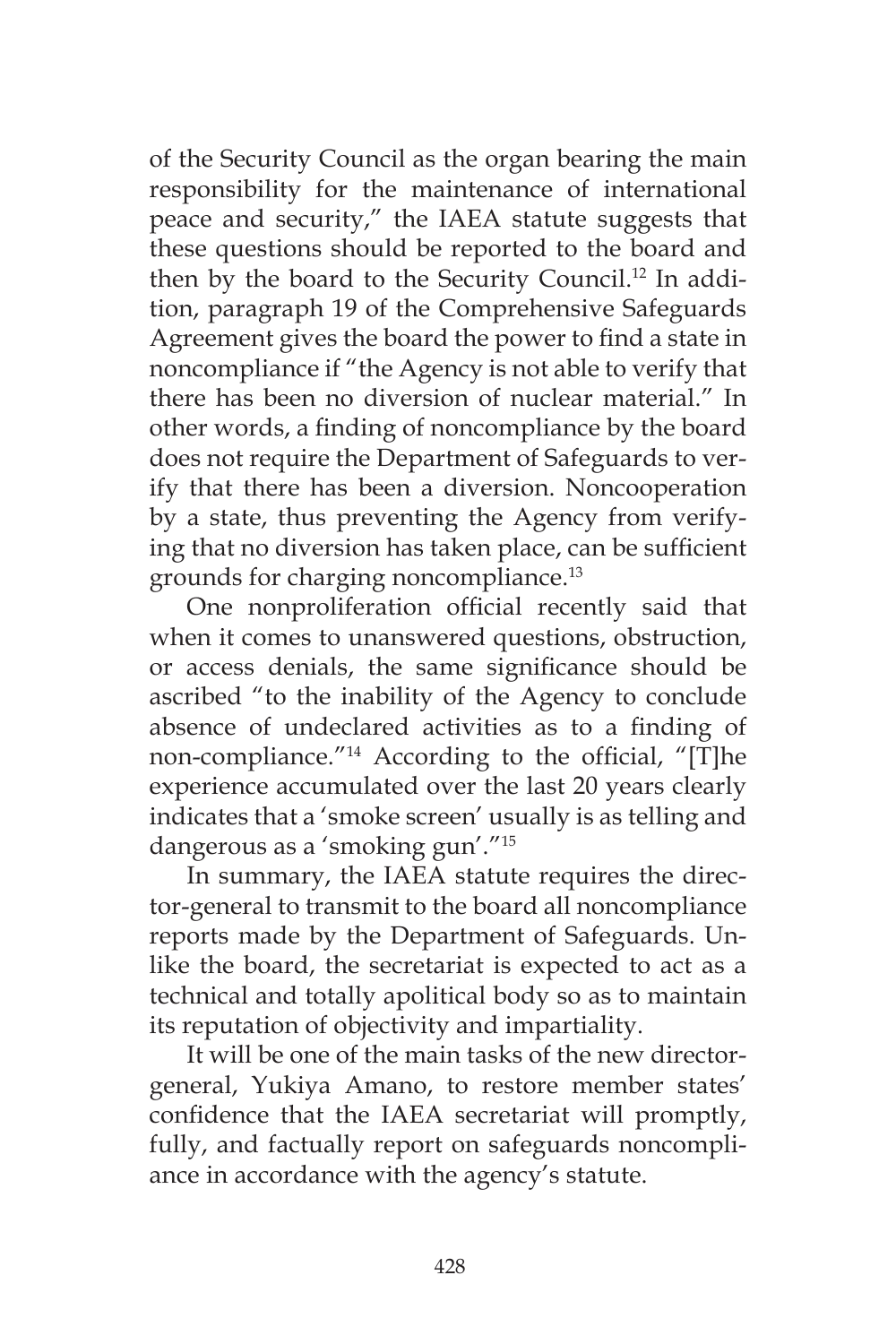of the Security Council as the organ bearing the main responsibility for the maintenance of international peace and security," the IAEA statute suggests that these questions should be reported to the board and then by the board to the Security Council.12 In addition, paragraph 19 of the Comprehensive Safeguards Agreement gives the board the power to find a state in noncompliance if "the Agency is not able to verify that there has been no diversion of nuclear material." In other words, a finding of noncompliance by the board does not require the Department of Safeguards to verify that there has been a diversion. Noncooperation by a state, thus preventing the Agency from verifying that no diversion has taken place, can be sufficient grounds for charging noncompliance.<sup>13</sup>

One nonproliferation official recently said that when it comes to unanswered questions, obstruction, or access denials, the same significance should be ascribed "to the inability of the Agency to conclude absence of undeclared activities as to a finding of non-compliance."14 According to the official, "[T]he experience accumulated over the last 20 years clearly indicates that a 'smoke screen' usually is as telling and dangerous as a 'smoking gun'."15

In summary, the IAEA statute requires the director-general to transmit to the board all noncompliance reports made by the Department of Safeguards. Unlike the board, the secretariat is expected to act as a technical and totally apolitical body so as to maintain its reputation of objectivity and impartiality.

It will be one of the main tasks of the new directorgeneral, Yukiya Amano, to restore member states' confidence that the IAEA secretariat will promptly, fully, and factually report on safeguards noncompliance in accordance with the agency's statute.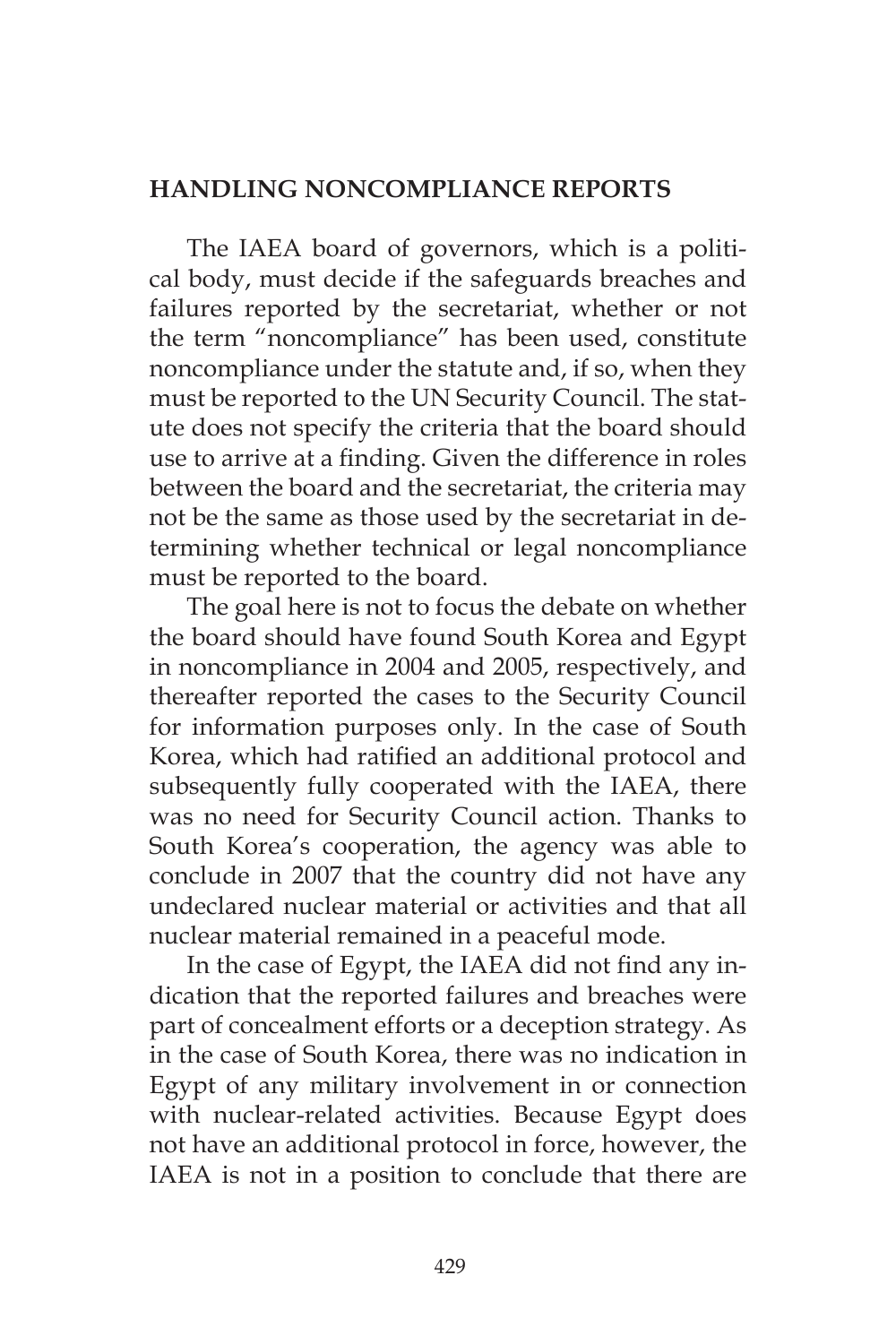## **HANDLING NONCOMPLIANCE REPORTS**

The IAEA board of governors, which is a political body, must decide if the safeguards breaches and failures reported by the secretariat, whether or not the term "noncompliance" has been used, constitute noncompliance under the statute and, if so, when they must be reported to the UN Security Council. The statute does not specify the criteria that the board should use to arrive at a finding. Given the difference in roles between the board and the secretariat, the criteria may not be the same as those used by the secretariat in determining whether technical or legal noncompliance must be reported to the board.

The goal here is not to focus the debate on whether the board should have found South Korea and Egypt in noncompliance in 2004 and 2005, respectively, and thereafter reported the cases to the Security Council for information purposes only. In the case of South Korea, which had ratified an additional protocol and subsequently fully cooperated with the IAEA, there was no need for Security Council action. Thanks to South Korea's cooperation, the agency was able to conclude in 2007 that the country did not have any undeclared nuclear material or activities and that all nuclear material remained in a peaceful mode.

In the case of Egypt, the IAEA did not find any indication that the reported failures and breaches were part of concealment efforts or a deception strategy. As in the case of South Korea, there was no indication in Egypt of any military involvement in or connection with nuclear-related activities. Because Egypt does not have an additional protocol in force, however, the IAEA is not in a position to conclude that there are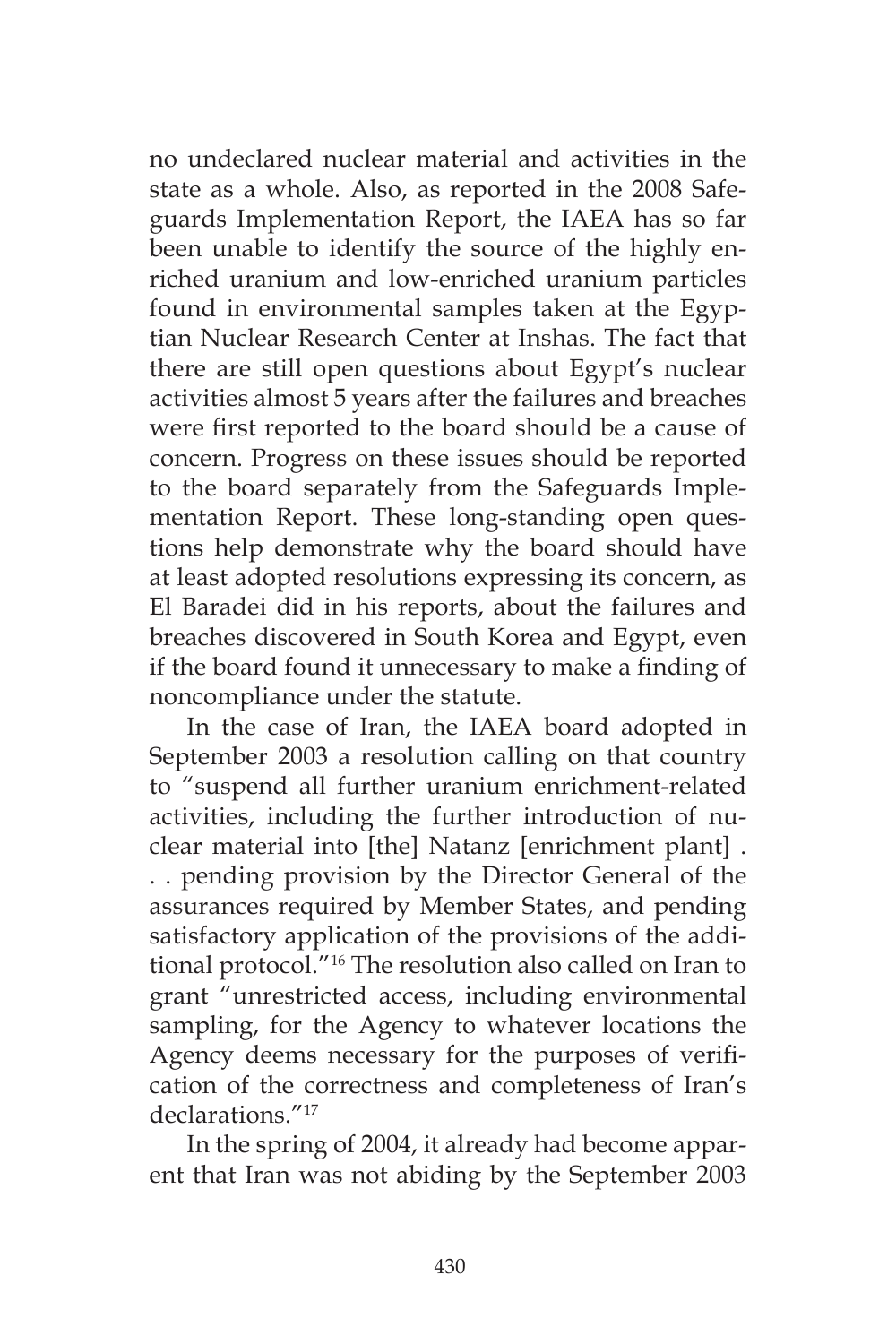no undeclared nuclear material and activities in the state as a whole. Also, as reported in the 2008 Safeguards Implementation Report, the IAEA has so far been unable to identify the source of the highly enriched uranium and low-enriched uranium particles found in environmental samples taken at the Egyptian Nuclear Research Center at Inshas. The fact that there are still open questions about Egypt's nuclear activities almost 5 years after the failures and breaches were first reported to the board should be a cause of concern. Progress on these issues should be reported to the board separately from the Safeguards Implementation Report. These long-standing open questions help demonstrate why the board should have at least adopted resolutions expressing its concern, as El Baradei did in his reports, about the failures and breaches discovered in South Korea and Egypt, even if the board found it unnecessary to make a finding of noncompliance under the statute.

In the case of Iran, the IAEA board adopted in September 2003 a resolution calling on that country to "suspend all further uranium enrichment-related activities, including the further introduction of nuclear material into [the] Natanz [enrichment plant] . . . pending provision by the Director General of the assurances required by Member States, and pending satisfactory application of the provisions of the additional protocol."16 The resolution also called on Iran to grant "unrestricted access, including environmental sampling, for the Agency to whatever locations the Agency deems necessary for the purposes of verification of the correctness and completeness of Iran's declarations."<sup>17</sup>

In the spring of 2004, it already had become apparent that Iran was not abiding by the September 2003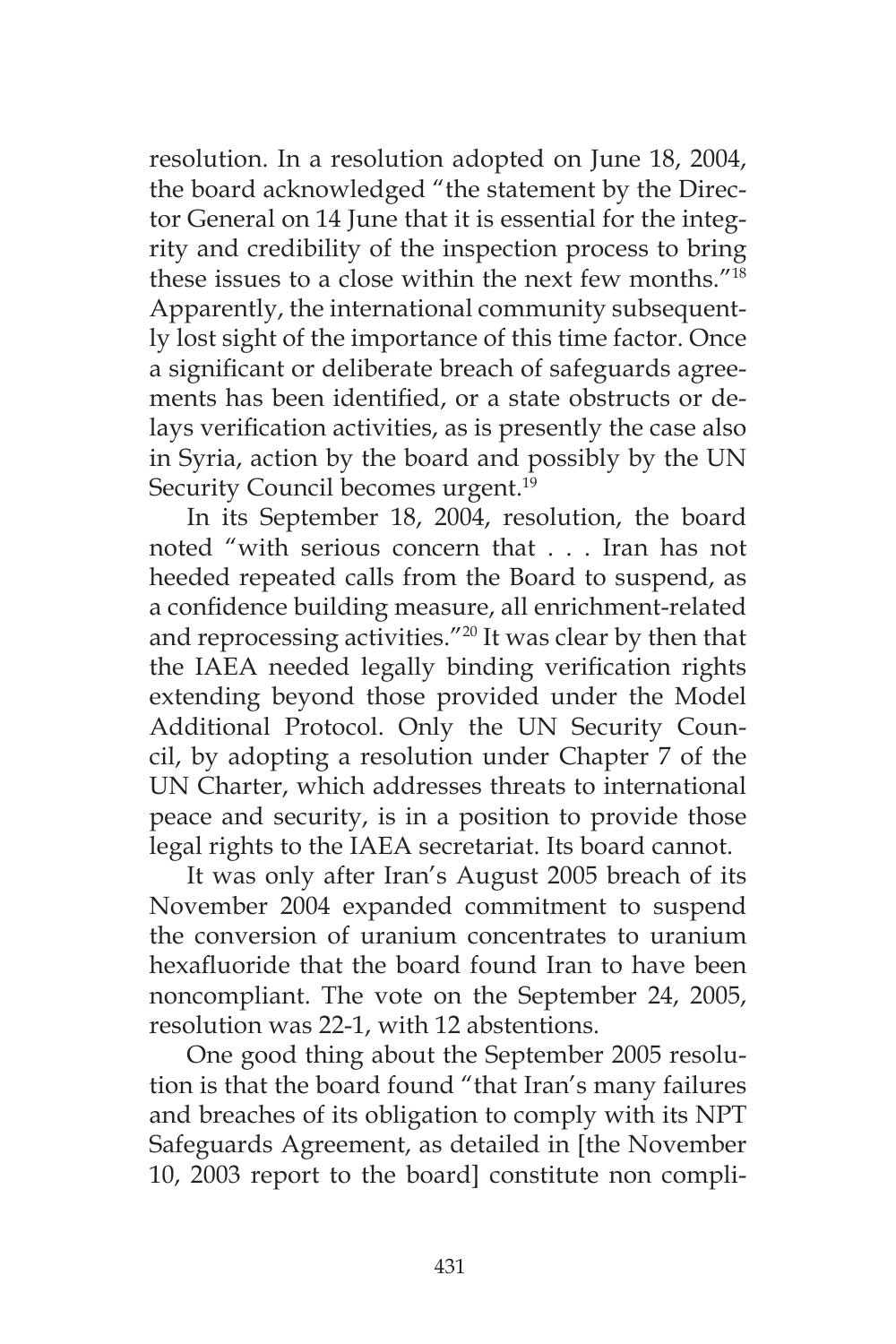resolution. In a resolution adopted on June 18, 2004, the board acknowledged "the statement by the Director General on 14 June that it is essential for the integrity and credibility of the inspection process to bring these issues to a close within the next few months. $^{\prime\prime}^{18}$ Apparently, the international community subsequently lost sight of the importance of this time factor. Once a significant or deliberate breach of safeguards agreements has been identified, or a state obstructs or delays verification activities, as is presently the case also in Syria, action by the board and possibly by the UN Security Council becomes urgent.<sup>19</sup>

In its September 18, 2004, resolution, the board noted "with serious concern that . . . Iran has not heeded repeated calls from the Board to suspend, as a confidence building measure, all enrichment-related and reprocessing activities."20 It was clear by then that the IAEA needed legally binding verification rights extending beyond those provided under the Model Additional Protocol. Only the UN Security Council, by adopting a resolution under Chapter 7 of the UN Charter, which addresses threats to international peace and security, is in a position to provide those legal rights to the IAEA secretariat. Its board cannot.

It was only after Iran's August 2005 breach of its November 2004 expanded commitment to suspend the conversion of uranium concentrates to uranium hexafluoride that the board found Iran to have been noncompliant. The vote on the September 24, 2005, resolution was 22-1, with 12 abstentions.

One good thing about the September 2005 resolution is that the board found "that Iran's many failures and breaches of its obligation to comply with its NPT Safeguards Agreement, as detailed in [the November 10, 2003 report to the board] constitute non compli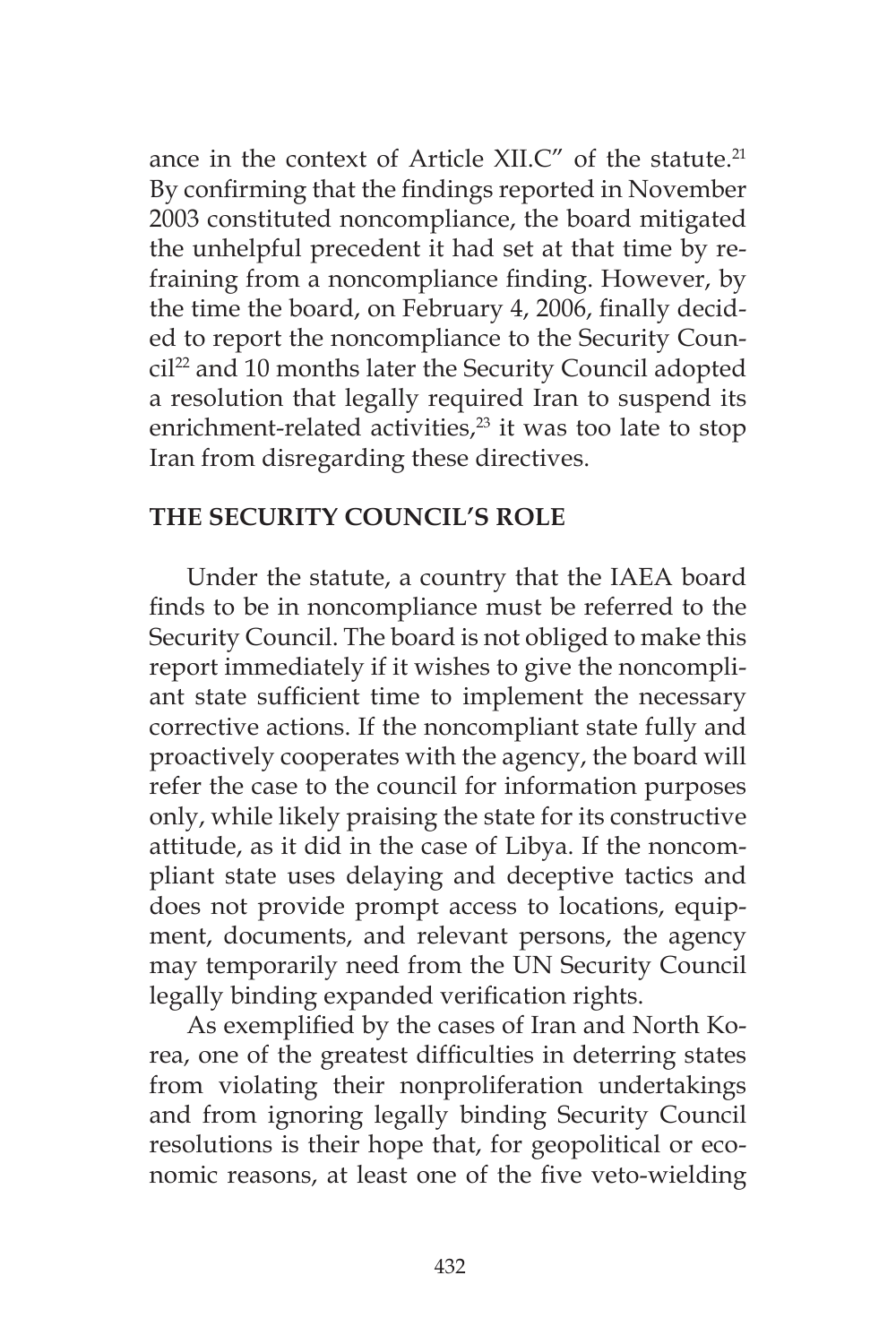ance in the context of Article XII.C" of the statute.<sup>21</sup> By confirming that the findings reported in November 2003 constituted noncompliance, the board mitigated the unhelpful precedent it had set at that time by refraining from a noncompliance finding. However, by the time the board, on February 4, 2006, finally decided to report the noncompliance to the Security Council<sup>22</sup> and 10 months later the Security Council adopted a resolution that legally required Iran to suspend its enrichment-related activities, $^{23}$  it was too late to stop Iran from disregarding these directives.

## **THE SECURITY COUNCIL'S ROLE**

Under the statute, a country that the IAEA board finds to be in noncompliance must be referred to the Security Council. The board is not obliged to make this report immediately if it wishes to give the noncompliant state sufficient time to implement the necessary corrective actions. If the noncompliant state fully and proactively cooperates with the agency, the board will refer the case to the council for information purposes only, while likely praising the state for its constructive attitude, as it did in the case of Libya. If the noncompliant state uses delaying and deceptive tactics and does not provide prompt access to locations, equipment, documents, and relevant persons, the agency may temporarily need from the UN Security Council legally binding expanded verification rights.

As exemplified by the cases of Iran and North Korea, one of the greatest difficulties in deterring states from violating their nonproliferation undertakings and from ignoring legally binding Security Council resolutions is their hope that, for geopolitical or economic reasons, at least one of the five veto-wielding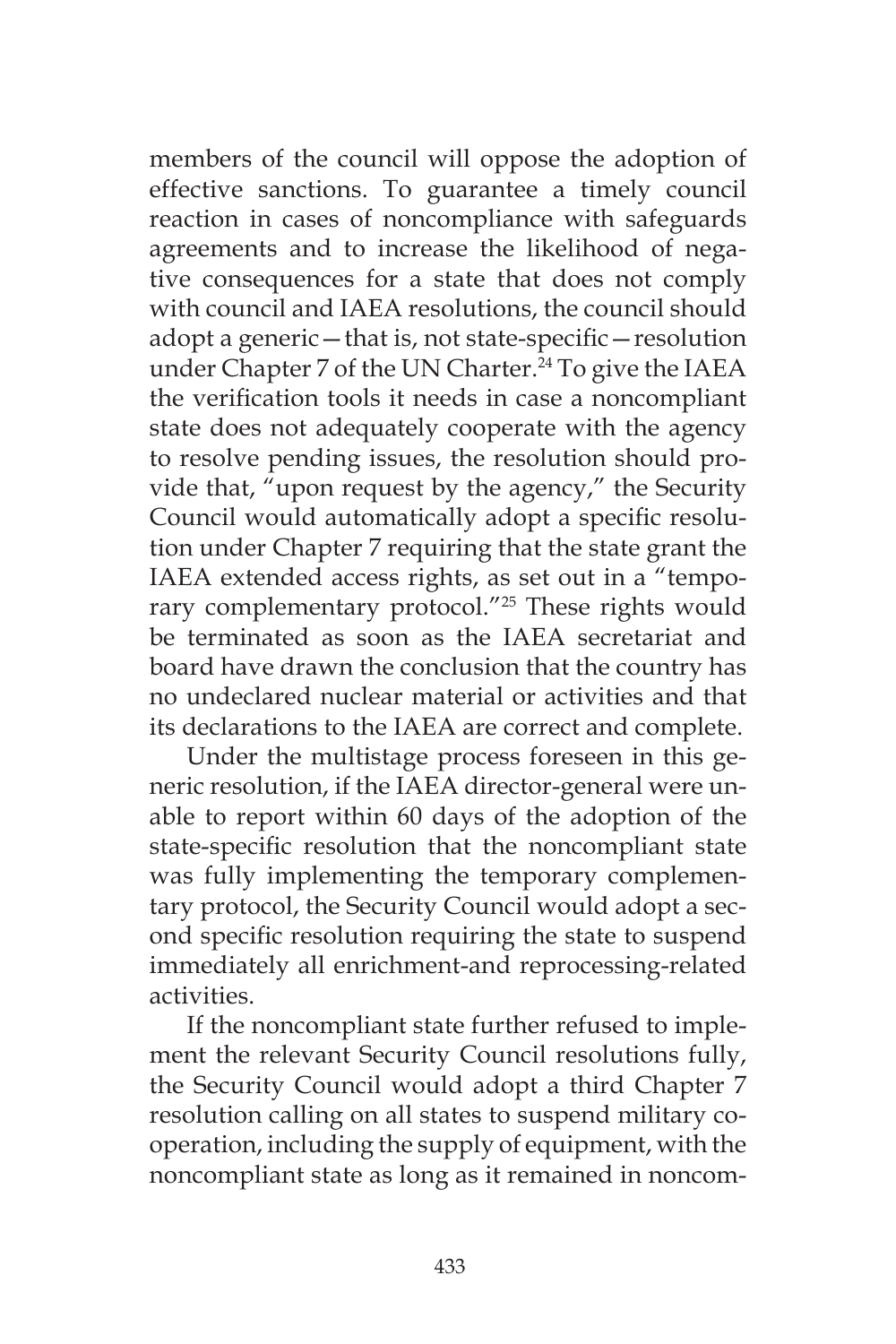members of the council will oppose the adoption of effective sanctions. To guarantee a timely council reaction in cases of noncompliance with safeguards agreements and to increase the likelihood of negative consequences for a state that does not comply with council and IAEA resolutions, the council should adopt a generic—that is, not state-specific—resolution under Chapter 7 of the UN Charter.<sup>24</sup> To give the IAEA the verification tools it needs in case a noncompliant state does not adequately cooperate with the agency to resolve pending issues, the resolution should provide that, "upon request by the agency," the Security Council would automatically adopt a specific resolution under Chapter 7 requiring that the state grant the IAEA extended access rights, as set out in a "temporary complementary protocol."<sup>25</sup> These rights would be terminated as soon as the IAEA secretariat and board have drawn the conclusion that the country has no undeclared nuclear material or activities and that its declarations to the IAEA are correct and complete.

Under the multistage process foreseen in this generic resolution, if the IAEA director-general were unable to report within 60 days of the adoption of the state-specific resolution that the noncompliant state was fully implementing the temporary complementary protocol, the Security Council would adopt a second specific resolution requiring the state to suspend immediately all enrichment-and reprocessing-related activities.

If the noncompliant state further refused to implement the relevant Security Council resolutions fully, the Security Council would adopt a third Chapter 7 resolution calling on all states to suspend military cooperation, including the supply of equipment, with the noncompliant state as long as it remained in noncom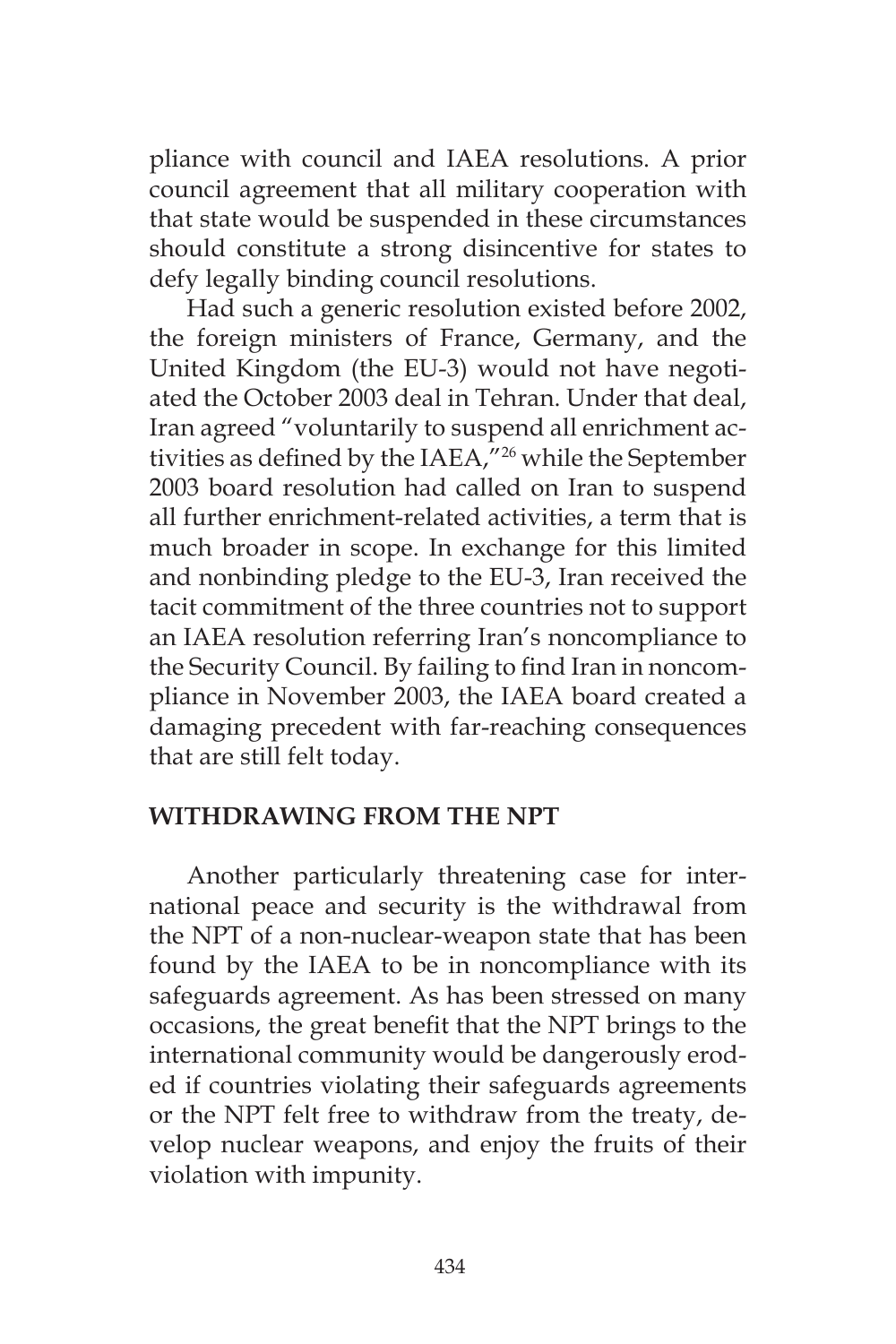pliance with council and IAEA resolutions. A prior council agreement that all military cooperation with that state would be suspended in these circumstances should constitute a strong disincentive for states to defy legally binding council resolutions.

Had such a generic resolution existed before 2002, the foreign ministers of France, Germany, and the United Kingdom (the EU-3) would not have negotiated the October 2003 deal in Tehran. Under that deal, Iran agreed "voluntarily to suspend all enrichment activities as defined by the IAEA,"26 while the September 2003 board resolution had called on Iran to suspend all further enrichment-related activities, a term that is much broader in scope. In exchange for this limited and nonbinding pledge to the EU-3, Iran received the tacit commitment of the three countries not to support an IAEA resolution referring Iran's noncompliance to the Security Council. By failing to find Iran in noncompliance in November 2003, the IAEA board created a damaging precedent with far-reaching consequences that are still felt today.

#### **WITHDRAWING FROM THE NPT**

Another particularly threatening case for international peace and security is the withdrawal from the NPT of a non-nuclear-weapon state that has been found by the IAEA to be in noncompliance with its safeguards agreement. As has been stressed on many occasions, the great benefit that the NPT brings to the international community would be dangerously eroded if countries violating their safeguards agreements or the NPT felt free to withdraw from the treaty, develop nuclear weapons, and enjoy the fruits of their violation with impunity.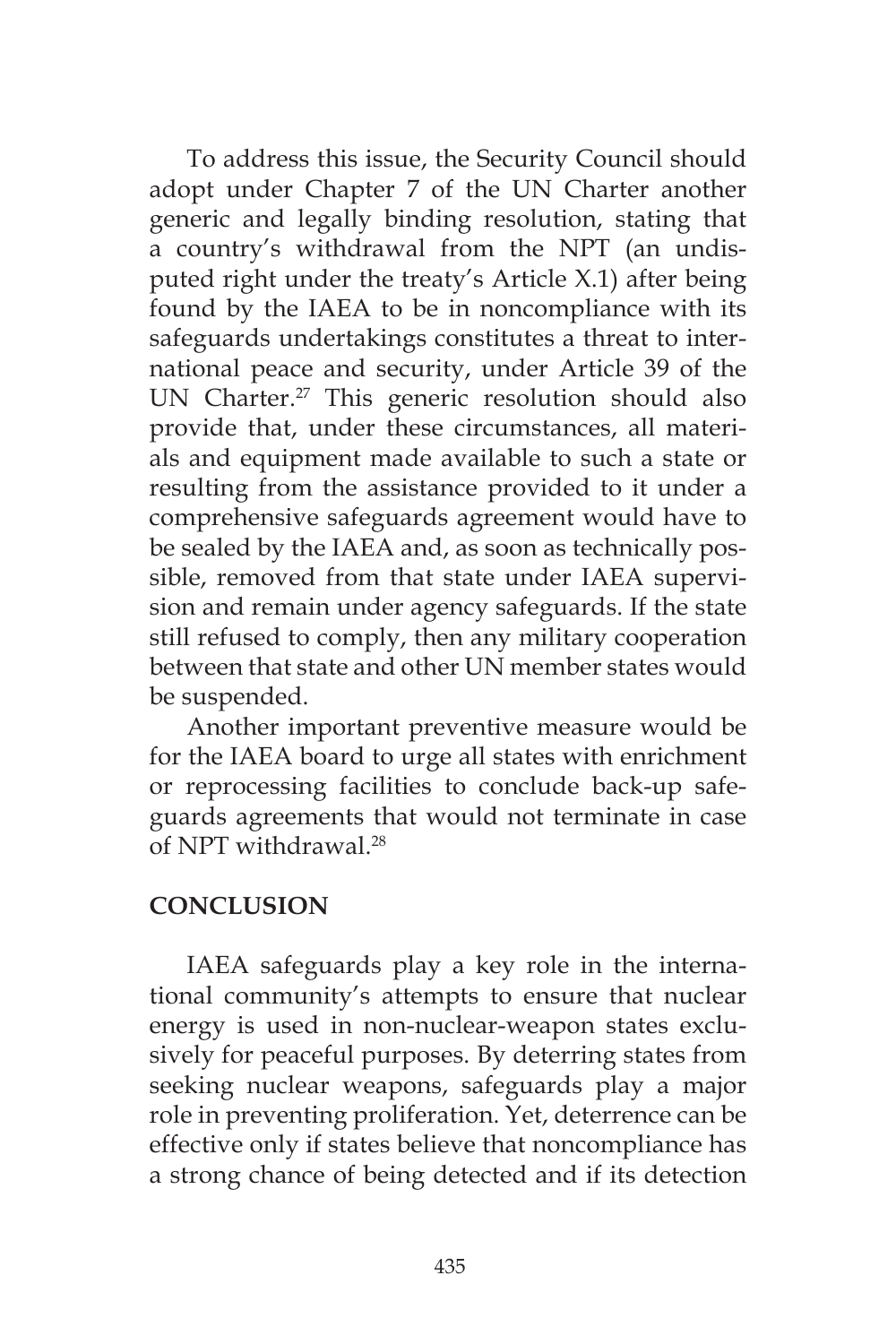To address this issue, the Security Council should adopt under Chapter 7 of the UN Charter another generic and legally binding resolution, stating that a country's withdrawal from the NPT (an undisputed right under the treaty's Article X.1) after being found by the IAEA to be in noncompliance with its safeguards undertakings constitutes a threat to international peace and security, under Article 39 of the UN Charter.<sup>27</sup> This generic resolution should also provide that, under these circumstances, all materials and equipment made available to such a state or resulting from the assistance provided to it under a comprehensive safeguards agreement would have to be sealed by the IAEA and, as soon as technically possible, removed from that state under IAEA supervision and remain under agency safeguards. If the state still refused to comply, then any military cooperation between that state and other UN member states would be suspended.

Another important preventive measure would be for the IAEA board to urge all states with enrichment or reprocessing facilities to conclude back-up safeguards agreements that would not terminate in case of NPT withdrawal.28

# **CONCLUSION**

IAEA safeguards play a key role in the international community's attempts to ensure that nuclear energy is used in non-nuclear-weapon states exclusively for peaceful purposes. By deterring states from seeking nuclear weapons, safeguards play a major role in preventing proliferation. Yet, deterrence can be effective only if states believe that noncompliance has a strong chance of being detected and if its detection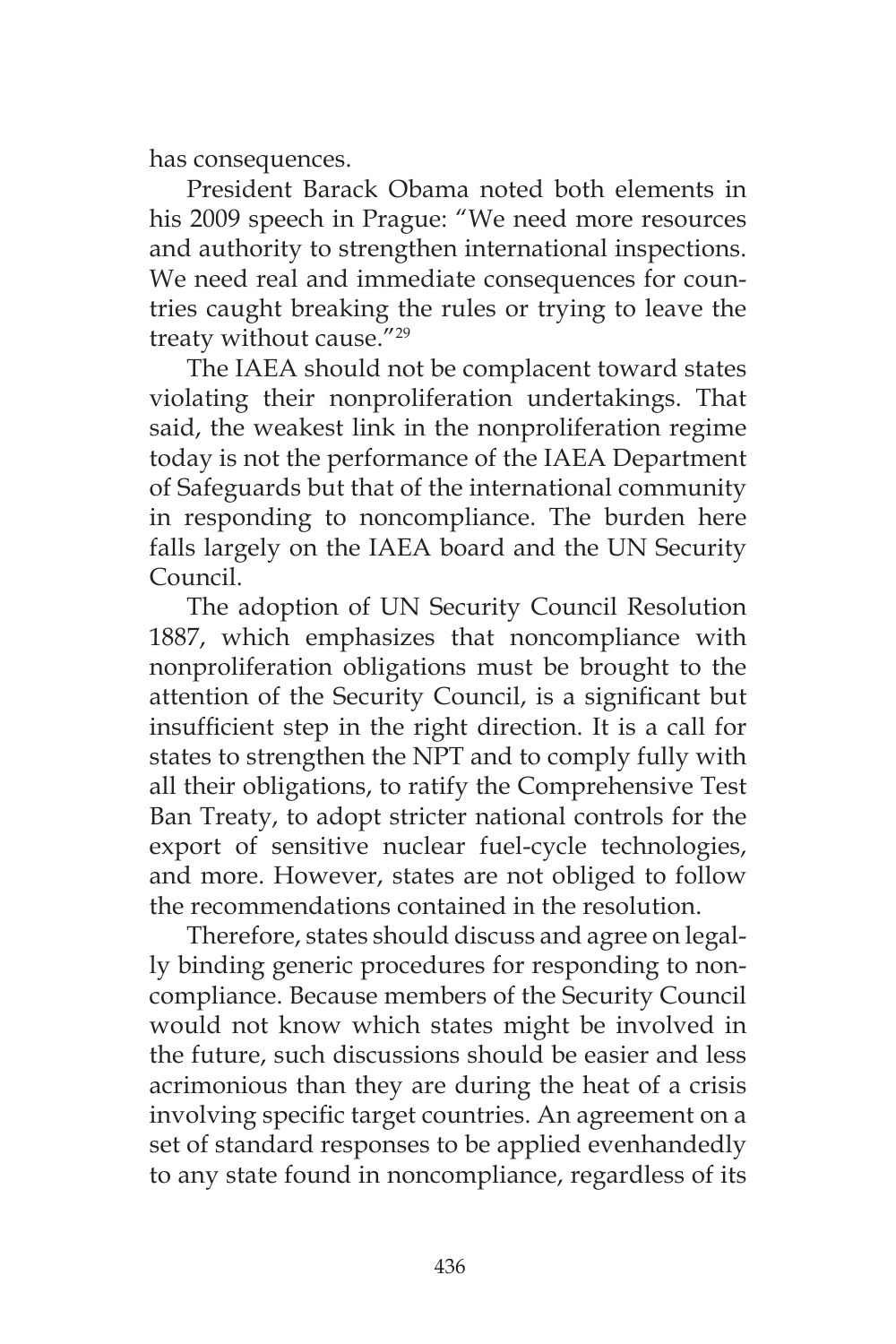has consequences.

President Barack Obama noted both elements in his 2009 speech in Prague: "We need more resources and authority to strengthen international inspections. We need real and immediate consequences for countries caught breaking the rules or trying to leave the treaty without cause."29

The IAEA should not be complacent toward states violating their nonproliferation undertakings. That said, the weakest link in the nonproliferation regime today is not the performance of the IAEA Department of Safeguards but that of the international community in responding to noncompliance. The burden here falls largely on the IAEA board and the UN Security Council.

The adoption of UN Security Council Resolution 1887, which emphasizes that noncompliance with nonproliferation obligations must be brought to the attention of the Security Council, is a significant but insufficient step in the right direction. It is a call for states to strengthen the NPT and to comply fully with all their obligations, to ratify the Comprehensive Test Ban Treaty, to adopt stricter national controls for the export of sensitive nuclear fuel-cycle technologies, and more. However, states are not obliged to follow the recommendations contained in the resolution.

Therefore, states should discuss and agree on legally binding generic procedures for responding to noncompliance. Because members of the Security Council would not know which states might be involved in the future, such discussions should be easier and less acrimonious than they are during the heat of a crisis involving specific target countries. An agreement on a set of standard responses to be applied evenhandedly to any state found in noncompliance, regardless of its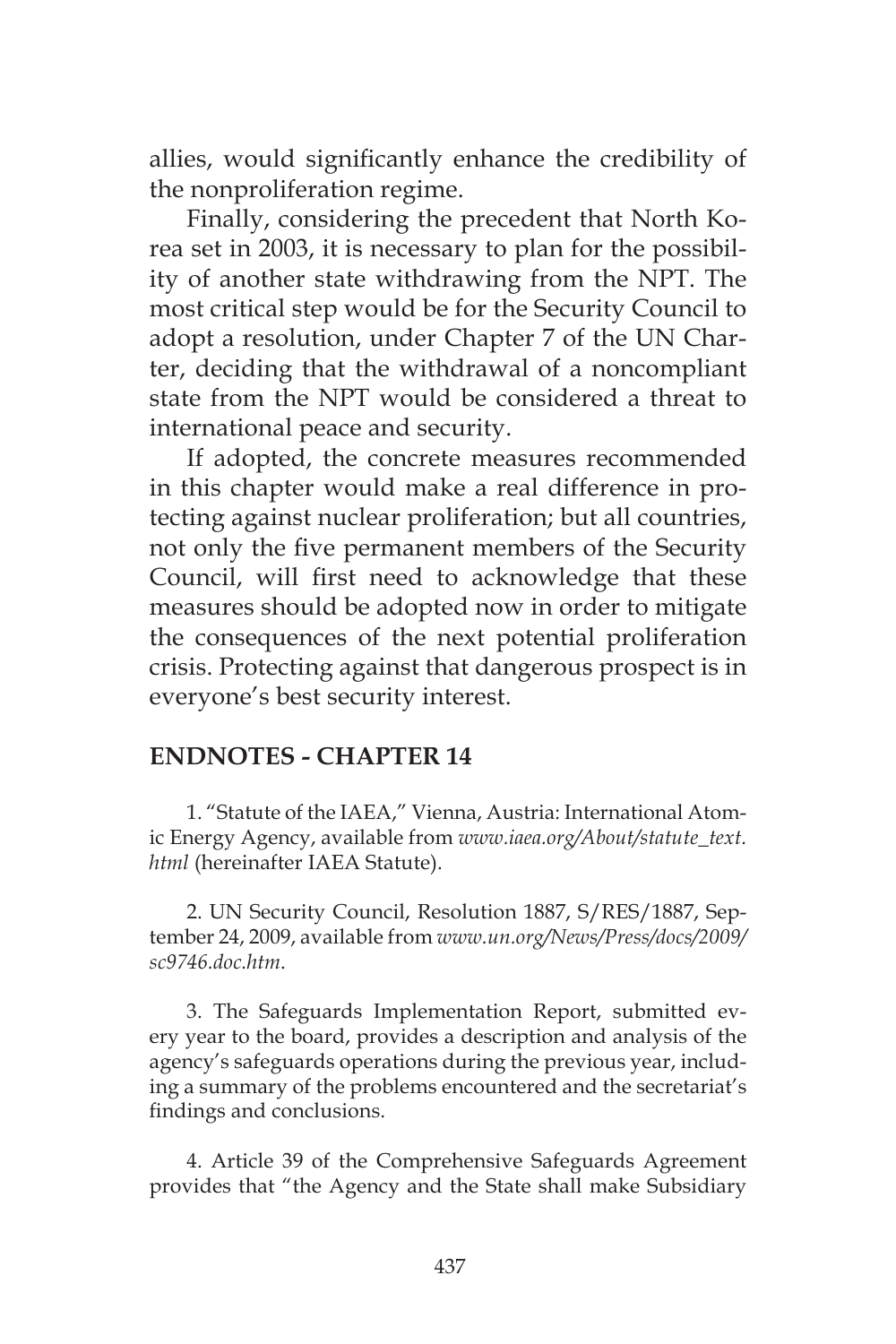allies, would significantly enhance the credibility of the nonproliferation regime.

Finally, considering the precedent that North Korea set in 2003, it is necessary to plan for the possibility of another state withdrawing from the NPT. The most critical step would be for the Security Council to adopt a resolution, under Chapter 7 of the UN Charter, deciding that the withdrawal of a noncompliant state from the NPT would be considered a threat to international peace and security.

If adopted, the concrete measures recommended in this chapter would make a real difference in protecting against nuclear proliferation; but all countries, not only the five permanent members of the Security Council, will first need to acknowledge that these measures should be adopted now in order to mitigate the consequences of the next potential proliferation crisis. Protecting against that dangerous prospect is in everyone's best security interest.

### **ENDNOTES - CHAPTER 14**

1. "Statute of the IAEA," Vienna, Austria: International Atomic Energy Agency, available from *www.iaea.org/About/statute\_text. html* (hereinafter IAEA Statute).

2. UN Security Council, Resolution 1887, S/RES/1887, September 24, 2009, available from *www.un.org/News/Press/docs/2009/ sc9746.doc.htm*.

3. The Safeguards Implementation Report, submitted every year to the board, provides a description and analysis of the agency's safeguards operations during the previous year, including a summary of the problems encountered and the secretariat's findings and conclusions.

4. Article 39 of the Comprehensive Safeguards Agreement provides that "the Agency and the State shall make Subsidiary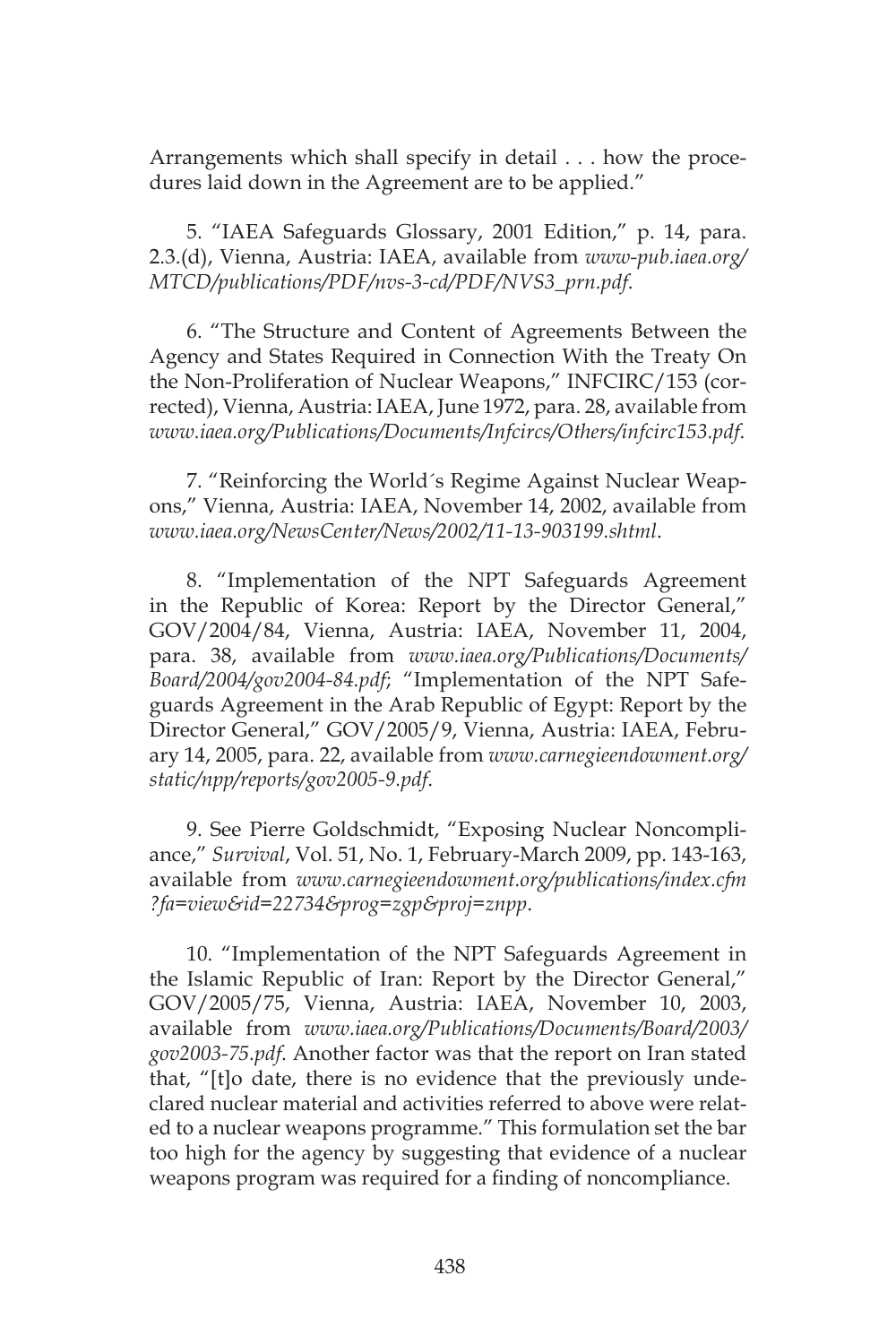Arrangements which shall specify in detail . . . how the procedures laid down in the Agreement are to be applied."

5. "IAEA Safeguards Glossary, 2001 Edition," p. 14, para. 2.3.(d), Vienna, Austria: IAEA, available from *www-pub.iaea.org/ MTCD/publications/PDF/nvs-3-cd/PDF/NVS3\_prn.pdf*.

6. "The Structure and Content of Agreements Between the Agency and States Required in Connection With the Treaty On the Non-Proliferation of Nuclear Weapons," INFCIRC/153 (corrected), Vienna, Austria: IAEA, June 1972, para. 28, available from *www.iaea.org/Publications/Documents/Infcircs/Others/infcirc153.pdf*.

7. "Reinforcing the World´s Regime Against Nuclear Weapons," Vienna, Austria: IAEA, November 14, 2002, available from *www.iaea.org/NewsCenter/News/2002/11-13-903199.shtml*.

8. "Implementation of the NPT Safeguards Agreement in the Republic of Korea: Report by the Director General," GOV/2004/84, Vienna, Austria: IAEA, November 11, 2004, para. 38, available from *www.iaea.org/Publications/Documents/ Board/2004/gov2004-84.pdf*; "Implementation of the NPT Safeguards Agreement in the Arab Republic of Egypt: Report by the Director General," GOV/2005/9, Vienna, Austria: IAEA, February 14, 2005, para. 22, available from *www.carnegieendowment.org/ static/npp/reports/gov2005-9.pdf*.

9. See Pierre Goldschmidt, "Exposing Nuclear Noncompliance," *Survival*, Vol. 51, No. 1, February-March 2009, pp. 143-163, available from *www.carnegieendowment.org/publications/index.cfm ?fa=view&id=22734&prog=zgp&proj=znpp*.

10. "Implementation of the NPT Safeguards Agreement in the Islamic Republic of Iran: Report by the Director General," GOV/2005/75, Vienna, Austria: IAEA, November 10, 2003, available from *www.iaea.org/Publications/Documents/Board/2003/ gov2003-75.pdf*. Another factor was that the report on Iran stated that, "[t]o date, there is no evidence that the previously undeclared nuclear material and activities referred to above were related to a nuclear weapons programme." This formulation set the bar too high for the agency by suggesting that evidence of a nuclear weapons program was required for a finding of noncompliance.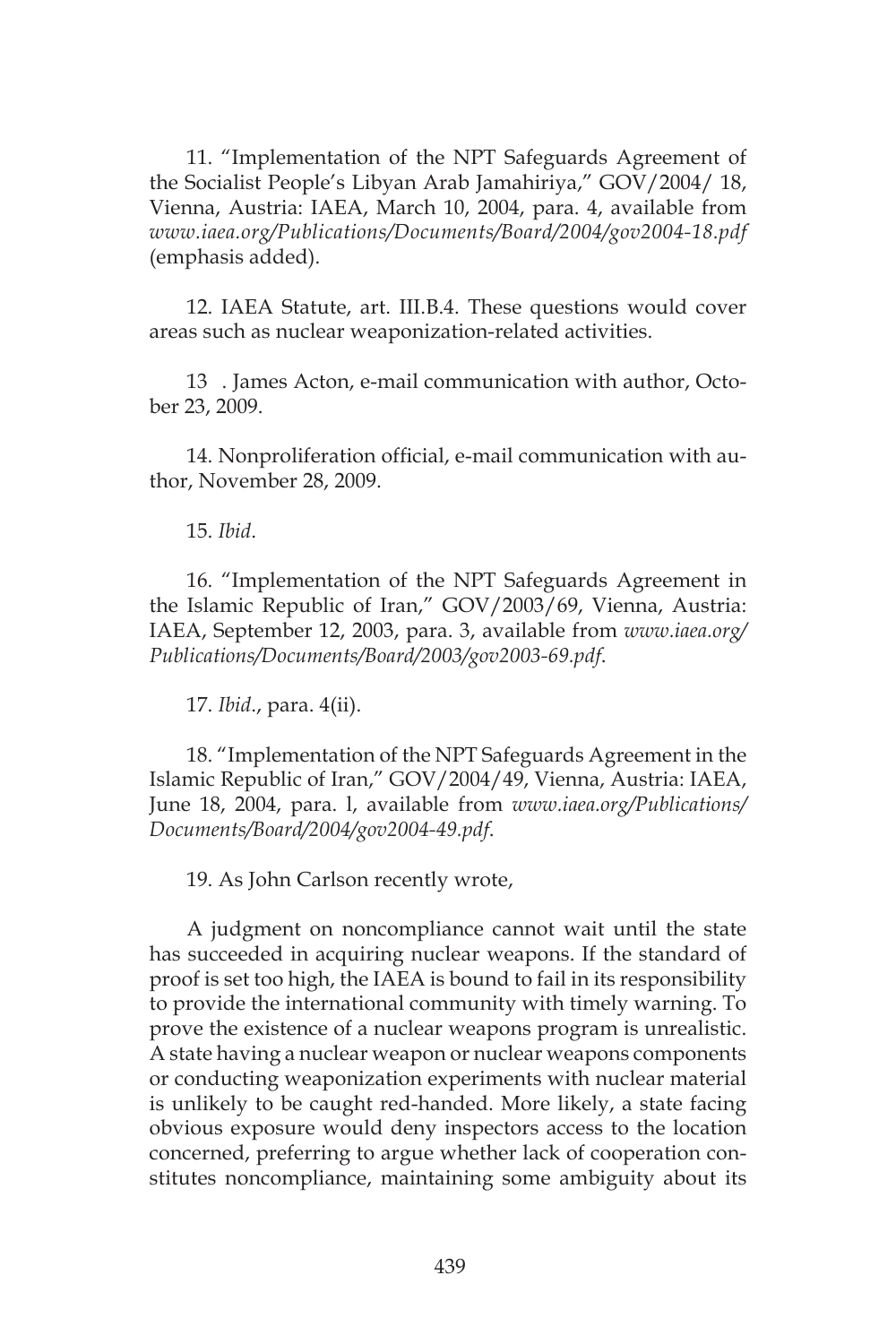11. "Implementation of the NPT Safeguards Agreement of the Socialist People's Libyan Arab Jamahiriya," GOV/2004/ 18, Vienna, Austria: IAEA, March 10, 2004, para. 4, available from *www.iaea.org/Publications/Documents/Board/2004/gov2004-18.pdf* (emphasis added).

12. IAEA Statute, art. III.B.4. These questions would cover areas such as nuclear weaponization-related activities.

13 . James Acton, e-mail communication with author, October 23, 2009.

14. Nonproliferation official, e-mail communication with author, November 28, 2009.

15. *Ibid*.

16. "Implementation of the NPT Safeguards Agreement in the Islamic Republic of Iran," GOV/2003/69, Vienna, Austria: IAEA, September 12, 2003, para. 3, available from *www.iaea.org/ Publications/Documents/Board/2003/gov2003-69.pdf*.

17. *Ibid*., para. 4(ii).

18. "Implementation of the NPT Safeguards Agreement in the Islamic Republic of Iran," GOV/2004/49, Vienna, Austria: IAEA, June 18, 2004, para. l, available from *www.iaea.org/Publications/ Documents/Board/2004/gov2004-49.pdf*.

19. As John Carlson recently wrote,

A judgment on noncompliance cannot wait until the state has succeeded in acquiring nuclear weapons. If the standard of proof is set too high, the IAEA is bound to fail in its responsibility to provide the international community with timely warning. To prove the existence of a nuclear weapons program is unrealistic. A state having a nuclear weapon or nuclear weapons components or conducting weaponization experiments with nuclear material is unlikely to be caught red-handed. More likely, a state facing obvious exposure would deny inspectors access to the location concerned, preferring to argue whether lack of cooperation constitutes noncompliance, maintaining some ambiguity about its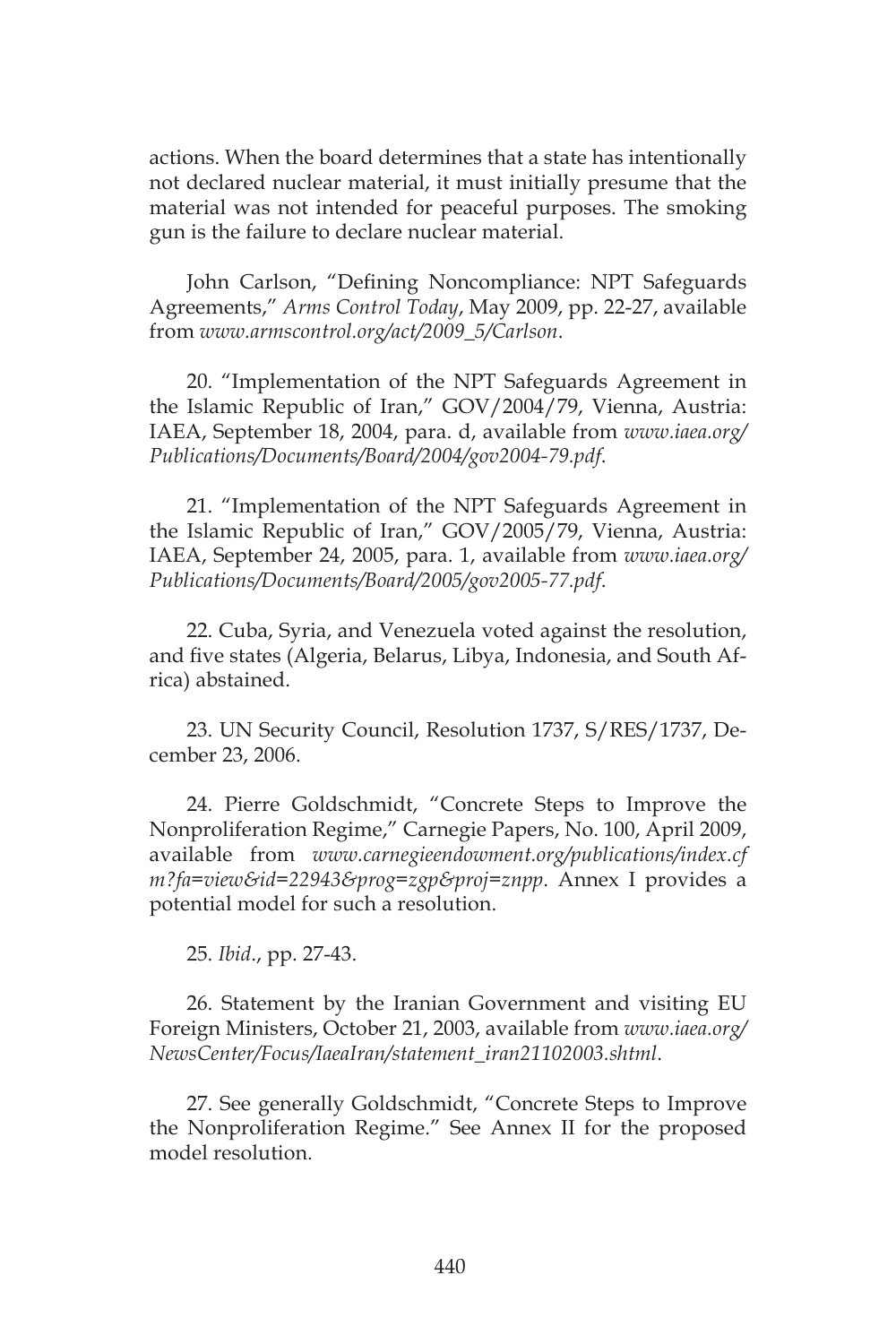actions. When the board determines that a state has intentionally not declared nuclear material, it must initially presume that the material was not intended for peaceful purposes. The smoking gun is the failure to declare nuclear material.

John Carlson, "Defining Noncompliance: NPT Safeguards Agreements," *Arms Control Today*, May 2009, pp. 22-27, available from *www.armscontrol.org/act/2009\_5/Carlson*.

20. "Implementation of the NPT Safeguards Agreement in the Islamic Republic of Iran," GOV/2004/79, Vienna, Austria: IAEA, September 18, 2004, para. d, available from *www.iaea.org/ Publications/Documents/Board/2004/gov2004-79.pdf*.

21. "Implementation of the NPT Safeguards Agreement in the Islamic Republic of Iran," GOV/2005/79, Vienna, Austria: IAEA, September 24, 2005, para. 1, available from *www.iaea.org/ Publications/Documents/Board/2005/gov2005-77.pdf*.

22. Cuba, Syria, and Venezuela voted against the resolution, and five states (Algeria, Belarus, Libya, Indonesia, and South Africa) abstained.

23. UN Security Council, Resolution 1737, S/RES/1737, December 23, 2006.

24. Pierre Goldschmidt, "Concrete Steps to Improve the Nonproliferation Regime," Carnegie Papers, No. 100, April 2009, available from *www.carnegieendowment.org/publications/index.cf m?fa=view&id=22943&prog=zgp&proj=znpp*. Annex I provides a potential model for such a resolution.

25. *Ibid*., pp. 27-43.

26. Statement by the Iranian Government and visiting EU Foreign Ministers, October 21, 2003, available from *www.iaea.org/ NewsCenter/Focus/IaeaIran/statement\_iran21102003.shtml*.

27. See generally Goldschmidt, "Concrete Steps to Improve the Nonproliferation Regime." See Annex II for the proposed model resolution.